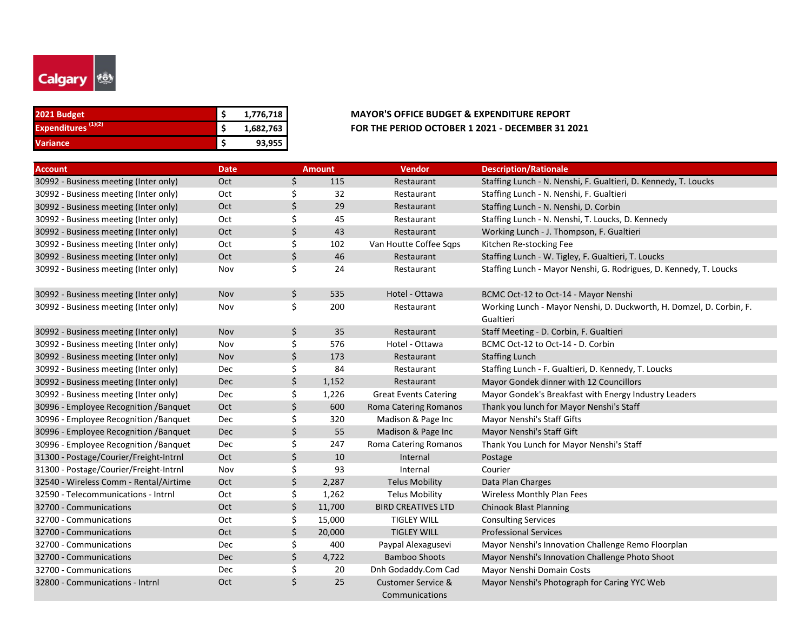

| 2021 Budget                    | 1,776,718 |
|--------------------------------|-----------|
| Expenditures <sup>(1)(2)</sup> | 1,682,763 |
| Variance                       | 93,955    |

| <b>Account</b>                         | <b>Date</b> |    | <b>Amount</b> | <b>Vendor</b>                                   | <b>Description/Rationale</b>                                         |
|----------------------------------------|-------------|----|---------------|-------------------------------------------------|----------------------------------------------------------------------|
| 30992 - Business meeting (Inter only)  | Oct         | \$ | 115           | Restaurant                                      | Staffing Lunch - N. Nenshi, F. Gualtieri, D. Kennedy, T. Loucks      |
| 30992 - Business meeting (Inter only)  | Oct         | \$ | 32            | Restaurant                                      | Staffing Lunch - N. Nenshi, F. Gualtieri                             |
| 30992 - Business meeting (Inter only)  | Oct         | \$ | 29            | Restaurant                                      | Staffing Lunch - N. Nenshi, D. Corbin                                |
| 30992 - Business meeting (Inter only)  | Oct         | \$ | 45            | Restaurant                                      | Staffing Lunch - N. Nenshi, T. Loucks, D. Kennedy                    |
| 30992 - Business meeting (Inter only)  | Oct         | \$ | 43            | Restaurant                                      | Working Lunch - J. Thompson, F. Gualtieri                            |
| 30992 - Business meeting (Inter only)  | Oct         | \$ | 102           | Van Houtte Coffee Sqps                          | Kitchen Re-stocking Fee                                              |
| 30992 - Business meeting (Inter only)  | Oct         | \$ | 46            | Restaurant                                      | Staffing Lunch - W. Tigley, F. Gualtieri, T. Loucks                  |
| 30992 - Business meeting (Inter only)  | Nov         | \$ | 24            | Restaurant                                      | Staffing Lunch - Mayor Nenshi, G. Rodrigues, D. Kennedy, T. Loucks   |
| 30992 - Business meeting (Inter only)  | Nov         | \$ | 535           | Hotel - Ottawa                                  | BCMC Oct-12 to Oct-14 - Mayor Nenshi                                 |
| 30992 - Business meeting (Inter only)  | Nov         | \$ | 200           | Restaurant                                      | Working Lunch - Mayor Nenshi, D. Duckworth, H. Domzel, D. Corbin, F. |
|                                        |             |    |               |                                                 | Gualtieri                                                            |
| 30992 - Business meeting (Inter only)  | Nov         | \$ | 35            | Restaurant                                      | Staff Meeting - D. Corbin, F. Gualtieri                              |
| 30992 - Business meeting (Inter only)  | Nov         | \$ | 576           | Hotel - Ottawa                                  | BCMC Oct-12 to Oct-14 - D. Corbin                                    |
| 30992 - Business meeting (Inter only)  | <b>Nov</b>  | \$ | 173           | Restaurant                                      | <b>Staffing Lunch</b>                                                |
| 30992 - Business meeting (Inter only)  | Dec         | \$ | 84            | Restaurant                                      | Staffing Lunch - F. Gualtieri, D. Kennedy, T. Loucks                 |
| 30992 - Business meeting (Inter only)  | <b>Dec</b>  | \$ | 1,152         | Restaurant                                      | Mayor Gondek dinner with 12 Councillors                              |
| 30992 - Business meeting (Inter only)  | Dec         | \$ | 1,226         | <b>Great Events Catering</b>                    | Mayor Gondek's Breakfast with Energy Industry Leaders                |
| 30996 - Employee Recognition / Banquet | Oct         | \$ | 600           | <b>Roma Catering Romanos</b>                    | Thank you lunch for Mayor Nenshi's Staff                             |
| 30996 - Employee Recognition / Banquet | Dec         | \$ | 320           | Madison & Page Inc                              | Mayor Nenshi's Staff Gifts                                           |
| 30996 - Employee Recognition / Banquet | Dec         | \$ | 55            | Madison & Page Inc                              | Mayor Nenshi's Staff Gift                                            |
| 30996 - Employee Recognition / Banquet | Dec         | \$ | 247           | Roma Catering Romanos                           | Thank You Lunch for Mayor Nenshi's Staff                             |
| 31300 - Postage/Courier/Freight-Intrnl | Oct         | \$ | 10            | Internal                                        | Postage                                                              |
| 31300 - Postage/Courier/Freight-Intrnl | Nov         | \$ | 93            | Internal                                        | Courier                                                              |
| 32540 - Wireless Comm - Rental/Airtime | Oct         | \$ | 2,287         | <b>Telus Mobility</b>                           | Data Plan Charges                                                    |
| 32590 - Telecommunications - Intrnl    | Oct         | \$ | 1,262         | <b>Telus Mobility</b>                           | <b>Wireless Monthly Plan Fees</b>                                    |
| 32700 - Communications                 | Oct         | \$ | 11,700        | <b>BIRD CREATIVES LTD</b>                       | <b>Chinook Blast Planning</b>                                        |
| 32700 - Communications                 | Oct         | \$ | 15,000        | <b>TIGLEY WILL</b>                              | <b>Consulting Services</b>                                           |
| 32700 - Communications                 | Oct         | \$ | 20,000        | <b>TIGLEY WILL</b>                              | <b>Professional Services</b>                                         |
| 32700 - Communications                 | Dec         | \$ | 400           | Paypal Alexagusevi                              | Mayor Nenshi's Innovation Challenge Remo Floorplan                   |
| 32700 - Communications                 | <b>Dec</b>  | Ś. | 4,722         | <b>Bamboo Shoots</b>                            | Mayor Nenshi's Innovation Challenge Photo Shoot                      |
| 32700 - Communications                 | Dec         | \$ | 20            | Dnh Godaddy.Com Cad                             | Mayor Nenshi Domain Costs                                            |
| 32800 - Communications - Intrnl        | Oct         | \$ | 25            | <b>Customer Service &amp;</b><br>Communications | Mayor Nenshi's Photograph for Caring YYC Web                         |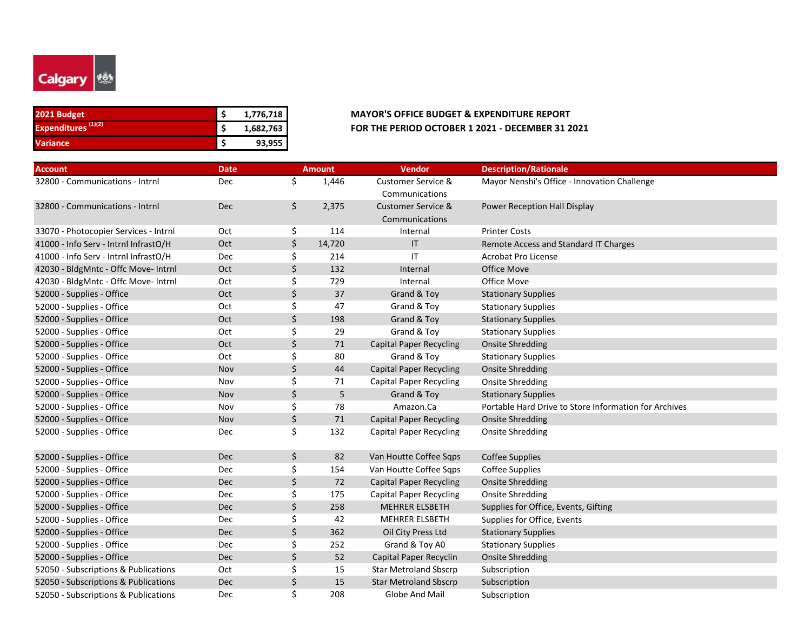

| 2021 Budget                    | 1,776,718 |
|--------------------------------|-----------|
| Expenditures <sup>(1)(2)</sup> | 1,682,763 |
| <b>Variance</b>                | 93,955    |

| <b>Account</b>                        | <b>Date</b> |    | <b>Amount</b> | <b>Vendor</b>                  | <b>Description/Rationale</b>                          |
|---------------------------------------|-------------|----|---------------|--------------------------------|-------------------------------------------------------|
| 32800 - Communications - Intrnl       | Dec         | \$ | 1,446         | <b>Customer Service &amp;</b>  | Mayor Nenshi's Office - Innovation Challenge          |
|                                       |             |    |               | Communications                 |                                                       |
| 32800 - Communications - Intrnl       | Dec         | \$ | 2,375         | <b>Customer Service &amp;</b>  | Power Reception Hall Display                          |
|                                       |             |    |               | Communications                 |                                                       |
| 33070 - Photocopier Services - Intrnl | Oct         | \$ | 114           | Internal                       | <b>Printer Costs</b>                                  |
| 41000 - Info Serv - Intrnl InfrastO/H | Oct         | \$ | 14,720        | $\mathsf{I}$                   | Remote Access and Standard IT Charges                 |
| 41000 - Info Serv - Intrnl InfrastO/H | Dec         | \$ | 214           | IT                             | Acrobat Pro License                                   |
| 42030 - BldgMntc - Offc Move- Intrnl  | Oct         | \$ | 132           | Internal                       | <b>Office Move</b>                                    |
| 42030 - BldgMntc - Offc Move- Intrnl  | Oct         | \$ | 729           | Internal                       | Office Move                                           |
| 52000 - Supplies - Office             | Oct         | \$ | 37            | Grand & Toy                    | <b>Stationary Supplies</b>                            |
| 52000 - Supplies - Office             | Oct         | \$ | 47            | Grand & Toy                    | <b>Stationary Supplies</b>                            |
| 52000 - Supplies - Office             | Oct         | \$ | 198           | Grand & Toy                    | <b>Stationary Supplies</b>                            |
| 52000 - Supplies - Office             | Oct         | \$ | 29            | Grand & Toy                    | <b>Stationary Supplies</b>                            |
| 52000 - Supplies - Office             | Oct         | Ś  | 71            | <b>Capital Paper Recycling</b> | <b>Onsite Shredding</b>                               |
| 52000 - Supplies - Office             | Oct         | \$ | 80            | Grand & Toy                    | <b>Stationary Supplies</b>                            |
| 52000 - Supplies - Office             | Nov         | \$ | 44            | <b>Capital Paper Recycling</b> | <b>Onsite Shredding</b>                               |
| 52000 - Supplies - Office             | Nov         | \$ | 71            | <b>Capital Paper Recycling</b> | <b>Onsite Shredding</b>                               |
| 52000 - Supplies - Office             | Nov         | \$ | 5             | Grand & Toy                    | <b>Stationary Supplies</b>                            |
| 52000 - Supplies - Office             | Nov         | \$ | 78            | Amazon.Ca                      | Portable Hard Drive to Store Information for Archives |
| 52000 - Supplies - Office             | Nov         | \$ | 71            | <b>Capital Paper Recycling</b> | <b>Onsite Shredding</b>                               |
| 52000 - Supplies - Office             | Dec         | \$ | 132           | <b>Capital Paper Recycling</b> | <b>Onsite Shredding</b>                               |
|                                       |             |    |               |                                |                                                       |
| 52000 - Supplies - Office             | <b>Dec</b>  | \$ | 82            | Van Houtte Coffee Sqps         | <b>Coffee Supplies</b>                                |
| 52000 - Supplies - Office             | Dec         | \$ | 154           | Van Houtte Coffee Sqps         | Coffee Supplies                                       |
| 52000 - Supplies - Office             | Dec         | \$ | 72            | <b>Capital Paper Recycling</b> | <b>Onsite Shredding</b>                               |
| 52000 - Supplies - Office             | Dec         | \$ | 175           | <b>Capital Paper Recycling</b> | <b>Onsite Shredding</b>                               |
| 52000 - Supplies - Office             | <b>Dec</b>  | \$ | 258           | <b>MEHRER ELSBETH</b>          | Supplies for Office, Events, Gifting                  |
| 52000 - Supplies - Office             | Dec         | \$ | 42            | <b>MEHRER ELSBETH</b>          | Supplies for Office, Events                           |
| 52000 - Supplies - Office             | Dec         | \$ | 362           | Oil City Press Ltd             | <b>Stationary Supplies</b>                            |
| 52000 - Supplies - Office             | <b>Dec</b>  | \$ | 252           | Grand & Toy A0                 | <b>Stationary Supplies</b>                            |
| 52000 - Supplies - Office             | <b>Dec</b>  | \$ | 52            | Capital Paper Recyclin         | <b>Onsite Shredding</b>                               |
| 52050 - Subscriptions & Publications  | Oct         | \$ | 15            | <b>Star Metroland Sbscrp</b>   | Subscription                                          |
| 52050 - Subscriptions & Publications  | Dec         | \$ | 15            | <b>Star Metroland Sbscrp</b>   | Subscription                                          |
| 52050 - Subscriptions & Publications  | Dec         | \$ | 208           | Globe And Mail                 | Subscription                                          |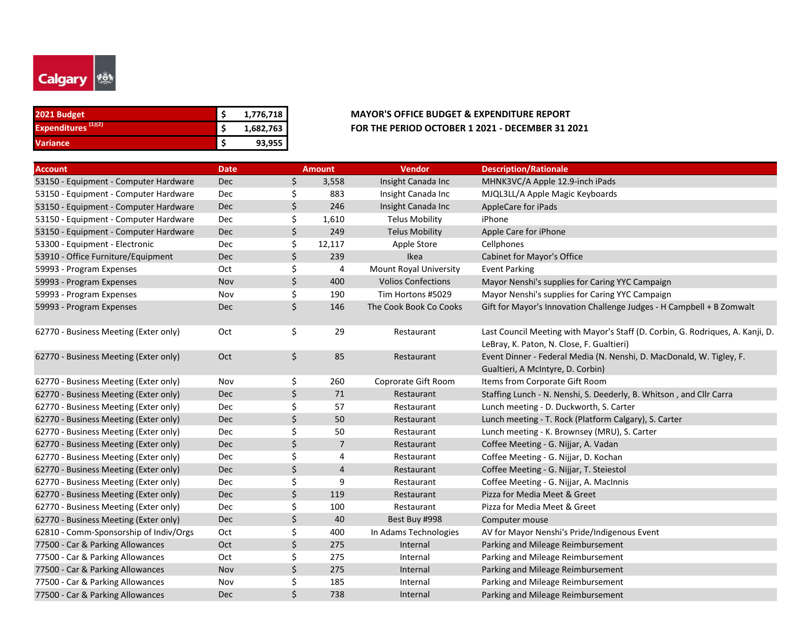

| 2021 Budget                    | 1,776,718 | <b>MAYOR'S OFFICE BUDGET &amp; EXPENDITURE REPORT</b> |
|--------------------------------|-----------|-------------------------------------------------------|
| Expenditures <sup>(1)(2)</sup> | 1,682,763 | FOR THE PERIOD OCTOBER 1 2021 - DECEMBER 31 2         |
| <b>Variance</b>                | 93,955    |                                                       |

# **Expenditures (1)(2) \$ 1,682,763 FOR THE PERIOD OCTOBER 1 2021 - DECEMBER 31 2021**

| <b>Account</b>                         | <b>Date</b> | <b>Amount</b>        | Vendor                    | <b>Description/Rationale</b>                                                   |
|----------------------------------------|-------------|----------------------|---------------------------|--------------------------------------------------------------------------------|
| 53150 - Equipment - Computer Hardware  | <b>Dec</b>  | \$<br>3,558          | Insight Canada Inc        | MHNK3VC/A Apple 12.9-inch iPads                                                |
| 53150 - Equipment - Computer Hardware  | Dec         | \$<br>883            | Insight Canada Inc        | MJQL3LL/A Apple Magic Keyboards                                                |
| 53150 - Equipment - Computer Hardware  | <b>Dec</b>  | \$<br>246            | Insight Canada Inc        | AppleCare for iPads                                                            |
| 53150 - Equipment - Computer Hardware  | Dec         | \$<br>1,610          | <b>Telus Mobility</b>     | iPhone                                                                         |
| 53150 - Equipment - Computer Hardware  | <b>Dec</b>  | \$<br>249            | <b>Telus Mobility</b>     | Apple Care for iPhone                                                          |
| 53300 - Equipment - Electronic         | Dec         | \$<br>12,117         | Apple Store               | Cellphones                                                                     |
| 53910 - Office Furniture/Equipment     | Dec         | \$<br>239            | Ikea                      | Cabinet for Mayor's Office                                                     |
| 59993 - Program Expenses               | Oct         | \$<br>4              | Mount Royal University    | <b>Event Parking</b>                                                           |
| 59993 - Program Expenses               | Nov         | \$<br>400            | <b>Volios Confections</b> | Mayor Nenshi's supplies for Caring YYC Campaign                                |
| 59993 - Program Expenses               | Nov         | \$<br>190            | Tim Hortons #5029         | Mayor Nenshi's supplies for Caring YYC Campaign                                |
| 59993 - Program Expenses               | Dec         | \$<br>146            | The Cook Book Co Cooks    | Gift for Mayor's Innovation Challenge Judges - H Campbell + B Zomwalt          |
| 62770 - Business Meeting (Exter only)  | Oct         | \$<br>29             | Restaurant                | Last Council Meeting with Mayor's Staff (D. Corbin, G. Rodriques, A. Kanji, D. |
|                                        |             |                      |                           | LeBray, K. Paton, N. Close, F. Gualtieri)                                      |
| 62770 - Business Meeting (Exter only)  | Oct         | \$<br>85             | Restaurant                | Event Dinner - Federal Media (N. Nenshi, D. MacDonald, W. Tigley, F.           |
|                                        |             |                      |                           | Gualtieri, A McIntyre, D. Corbin)                                              |
| 62770 - Business Meeting (Exter only)  | Nov         | \$<br>260            | Coprorate Gift Room       | Items from Corporate Gift Room                                                 |
| 62770 - Business Meeting (Exter only)  | <b>Dec</b>  | \$<br>71             | Restaurant                | Staffing Lunch - N. Nenshi, S. Deederly, B. Whitson, and Cllr Carra            |
| 62770 - Business Meeting (Exter only)  | Dec         | \$<br>57             | Restaurant                | Lunch meeting - D. Duckworth, S. Carter                                        |
| 62770 - Business Meeting (Exter only)  | <b>Dec</b>  | \$<br>50             | Restaurant                | Lunch meeting - T. Rock (Platform Calgary), S. Carter                          |
| 62770 - Business Meeting (Exter only)  | Dec         | \$<br>50             | Restaurant                | Lunch meeting - K. Brownsey (MRU), S. Carter                                   |
| 62770 - Business Meeting (Exter only)  | <b>Dec</b>  | \$<br>$\overline{7}$ | Restaurant                | Coffee Meeting - G. Nijjar, A. Vadan                                           |
| 62770 - Business Meeting (Exter only)  | Dec         | \$<br>4              | Restaurant                | Coffee Meeting - G. Nijjar, D. Kochan                                          |
| 62770 - Business Meeting (Exter only)  | Dec         | \$<br>$\overline{4}$ | Restaurant                | Coffee Meeting - G. Nijjar, T. Steiestol                                       |
| 62770 - Business Meeting (Exter only)  | Dec         | \$<br>9              | Restaurant                | Coffee Meeting - G. Nijjar, A. MacInnis                                        |
| 62770 - Business Meeting (Exter only)  | Dec         | \$<br>119            | Restaurant                | Pizza for Media Meet & Greet                                                   |
| 62770 - Business Meeting (Exter only)  | Dec         | \$<br>100            | Restaurant                | Pizza for Media Meet & Greet                                                   |
| 62770 - Business Meeting (Exter only)  | <b>Dec</b>  | \$<br>40             | Best Buy #998             | Computer mouse                                                                 |
| 62810 - Comm-Sponsorship of Indiv/Orgs | Oct         | \$<br>400            | In Adams Technologies     | AV for Mayor Nenshi's Pride/Indigenous Event                                   |
| 77500 - Car & Parking Allowances       | Oct         | \$<br>275            | Internal                  | Parking and Mileage Reimbursement                                              |
| 77500 - Car & Parking Allowances       | Oct         | \$<br>275            | Internal                  | Parking and Mileage Reimbursement                                              |
| 77500 - Car & Parking Allowances       | Nov         | \$<br>275            | Internal                  | Parking and Mileage Reimbursement                                              |
| 77500 - Car & Parking Allowances       | Nov         | \$<br>185            | Internal                  | Parking and Mileage Reimbursement                                              |
| 77500 - Car & Parking Allowances       | Dec         | \$<br>738            | Internal                  | Parking and Mileage Reimbursement                                              |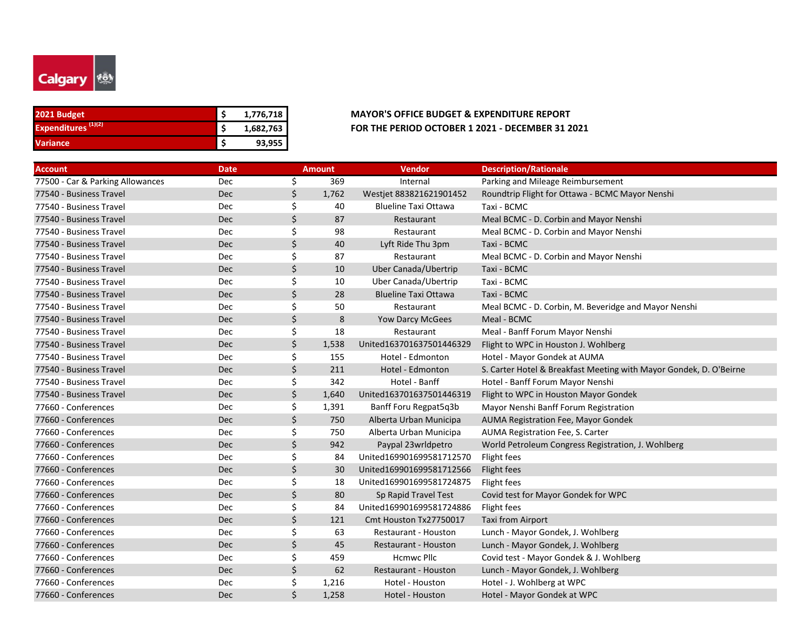

| 2021 Budget                    | 1,776,718 |
|--------------------------------|-----------|
| Expenditures <sup>(1)(2)</sup> | 1,682,763 |
| <b>Variance</b>                | 93,955    |

| <b>Account</b>                   | <b>Date</b> |    | <b>Amount</b> | <b>Vendor</b>               | <b>Description/Rationale</b>                                       |
|----------------------------------|-------------|----|---------------|-----------------------------|--------------------------------------------------------------------|
| 77500 - Car & Parking Allowances | Dec         | \$ | 369           | Internal                    | Parking and Mileage Reimbursement                                  |
| 77540 - Business Travel          | Dec         | \$ | 1,762         | Westjet 883821621901452     | Roundtrip Flight for Ottawa - BCMC Mayor Nenshi                    |
| 77540 - Business Travel          | Dec         | \$ | 40            | <b>Blueline Taxi Ottawa</b> | Taxi - BCMC                                                        |
| 77540 - Business Travel          | Dec         | \$ | 87            | Restaurant                  | Meal BCMC - D. Corbin and Mayor Nenshi                             |
| 77540 - Business Travel          | Dec         | Ś  | 98            | Restaurant                  | Meal BCMC - D. Corbin and Mayor Nenshi                             |
| 77540 - Business Travel          | Dec         | \$ | 40            | Lyft Ride Thu 3pm           | Taxi - BCMC                                                        |
| 77540 - Business Travel          | Dec         | Ś  | 87            | Restaurant                  | Meal BCMC - D. Corbin and Mayor Nenshi                             |
| 77540 - Business Travel          | Dec         | \$ | 10            | Uber Canada/Ubertrip        | Taxi - BCMC                                                        |
| 77540 - Business Travel          | Dec         | \$ | 10            | Uber Canada/Ubertrip        | Taxi - BCMC                                                        |
| 77540 - Business Travel          | Dec         | \$ | 28            | <b>Blueline Taxi Ottawa</b> | Taxi - BCMC                                                        |
| 77540 - Business Travel          | Dec         | \$ | 50            | Restaurant                  | Meal BCMC - D. Corbin, M. Beveridge and Mayor Nenshi               |
| 77540 - Business Travel          | Dec         | \$ | 8             | <b>Yow Darcy McGees</b>     | Meal - BCMC                                                        |
| 77540 - Business Travel          | Dec         | \$ | 18            | Restaurant                  | Meal - Banff Forum Mayor Nenshi                                    |
| 77540 - Business Travel          | <b>Dec</b>  | Ś. | 1,538         | United163701637501446329    | Flight to WPC in Houston J. Wohlberg                               |
| 77540 - Business Travel          | Dec         | Ś  | 155           | Hotel - Edmonton            | Hotel - Mayor Gondek at AUMA                                       |
| 77540 - Business Travel          | Dec         | \$ | 211           | Hotel - Edmonton            | S. Carter Hotel & Breakfast Meeting with Mayor Gondek, D. O'Beirne |
| 77540 - Business Travel          | Dec         | \$ | 342           | Hotel - Banff               | Hotel - Banff Forum Mayor Nenshi                                   |
| 77540 - Business Travel          | Dec         | Ś  | 1,640         | United163701637501446319    | Flight to WPC in Houston Mayor Gondek                              |
| 77660 - Conferences              | Dec         | \$ | 1,391         | Banff Foru Regpat5q3b       | Mayor Nenshi Banff Forum Registration                              |
| 77660 - Conferences              | Dec         | Ś  | 750           | Alberta Urban Municipa      | AUMA Registration Fee, Mayor Gondek                                |
| 77660 - Conferences              | Dec         | Ś  | 750           | Alberta Urban Municipa      | AUMA Registration Fee, S. Carter                                   |
| 77660 - Conferences              | Dec         | Ś  | 942           | Paypal 23wrldpetro          | World Petroleum Congress Registration, J. Wohlberg                 |
| 77660 - Conferences              | Dec         | Ś  | 84            | United169901699581712570    | Flight fees                                                        |
| 77660 - Conferences              | Dec         | \$ | 30            | United169901699581712566    | Flight fees                                                        |
| 77660 - Conferences              | Dec         | \$ | 18            | United169901699581724875    | Flight fees                                                        |
| 77660 - Conferences              | Dec         | Ś  | 80            | Sp Rapid Travel Test        | Covid test for Mayor Gondek for WPC                                |
| 77660 - Conferences              | Dec         | \$ | 84            | United169901699581724886    | Flight fees                                                        |
| 77660 - Conferences              | <b>Dec</b>  | Ś. | 121           | Cmt Houston Tx27750017      | <b>Taxi from Airport</b>                                           |
| 77660 - Conferences              | Dec         | \$ | 63            | Restaurant - Houston        | Lunch - Mayor Gondek, J. Wohlberg                                  |
| 77660 - Conferences              | <b>Dec</b>  | \$ | 45            | Restaurant - Houston        | Lunch - Mayor Gondek, J. Wohlberg                                  |
| 77660 - Conferences              | Dec         | \$ | 459           | <b>Hcmwc Pllc</b>           | Covid test - Mayor Gondek & J. Wohlberg                            |
| 77660 - Conferences              | Dec         | \$ | 62            | Restaurant - Houston        | Lunch - Mayor Gondek, J. Wohlberg                                  |
| 77660 - Conferences              | Dec         | \$ | 1,216         | Hotel - Houston             | Hotel - J. Wohlberg at WPC                                         |
| 77660 - Conferences              | Dec         |    | 1,258         | Hotel - Houston             | Hotel - Mayor Gondek at WPC                                        |